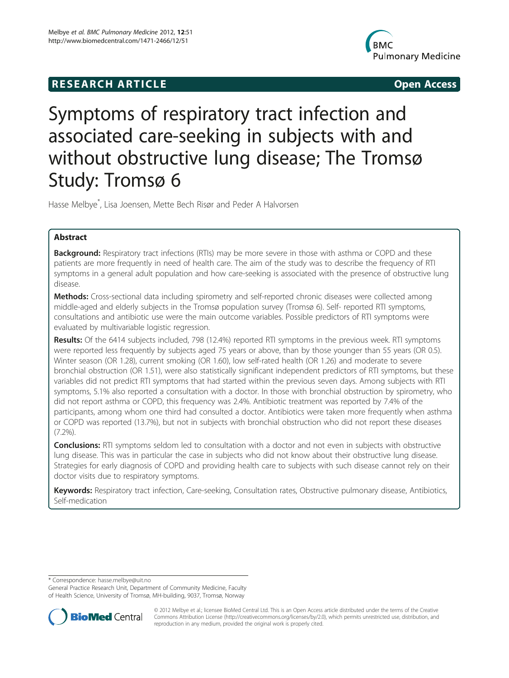# **RESEARCH ARTICLE Example 2018 12:00 Open Access**



# Symptoms of respiratory tract infection and associated care-seeking in subjects with and without obstructive lung disease; The Tromsø Study: Tromsø 6

Hasse Melbye\* , Lisa Joensen, Mette Bech Risør and Peder A Halvorsen

# Abstract

**Background:** Respiratory tract infections (RTIs) may be more severe in those with asthma or COPD and these patients are more frequently in need of health care. The aim of the study was to describe the frequency of RTI symptoms in a general adult population and how care-seeking is associated with the presence of obstructive lung disease.

Methods: Cross-sectional data including spirometry and self-reported chronic diseases were collected among middle-aged and elderly subjects in the Tromsø population survey (Tromsø 6). Self- reported RTI symptoms, consultations and antibiotic use were the main outcome variables. Possible predictors of RTI symptoms were evaluated by multivariable logistic regression.

Results: Of the 6414 subjects included, 798 (12.4%) reported RTI symptoms in the previous week. RTI symptoms were reported less frequently by subjects aged 75 years or above, than by those younger than 55 years (OR 0.5). Winter season (OR 1.28), current smoking (OR 1.60), low self-rated health (OR 1.26) and moderate to severe bronchial obstruction (OR 1.51), were also statistically significant independent predictors of RTI symptoms, but these variables did not predict RTI symptoms that had started within the previous seven days. Among subjects with RTI symptoms, 5.1% also reported a consultation with a doctor. In those with bronchial obstruction by spirometry, who did not report asthma or COPD, this frequency was 2.4%. Antibiotic treatment was reported by 7.4% of the participants, among whom one third had consulted a doctor. Antibiotics were taken more frequently when asthma or COPD was reported (13.7%), but not in subjects with bronchial obstruction who did not report these diseases (7.2%).

**Conclusions:** RTI symptoms seldom led to consultation with a doctor and not even in subjects with obstructive lung disease. This was in particular the case in subjects who did not know about their obstructive lung disease. Strategies for early diagnosis of COPD and providing health care to subjects with such disease cannot rely on their doctor visits due to respiratory symptoms.

Keywords: Respiratory tract infection, Care-seeking, Consultation rates, Obstructive pulmonary disease, Antibiotics, Self-medication

\* Correspondence: [hasse.melbye@uit.no](mailto:hasse.melbye@uit.no)

General Practice Research Unit, Department of Community Medicine, Faculty of Health Science, University of Tromsø, MH-building, 9037, Tromsø, Norway



© 2012 Melbye et al.; licensee BioMed Central Ltd. This is an Open Access article distributed under the terms of the Creative Commons Attribution License [\(http://creativecommons.org/licenses/by/2.0\)](http://creativecommons.org/licenses/by/2.0), which permits unrestricted use, distribution, and reproduction in any medium, provided the original work is properly cited.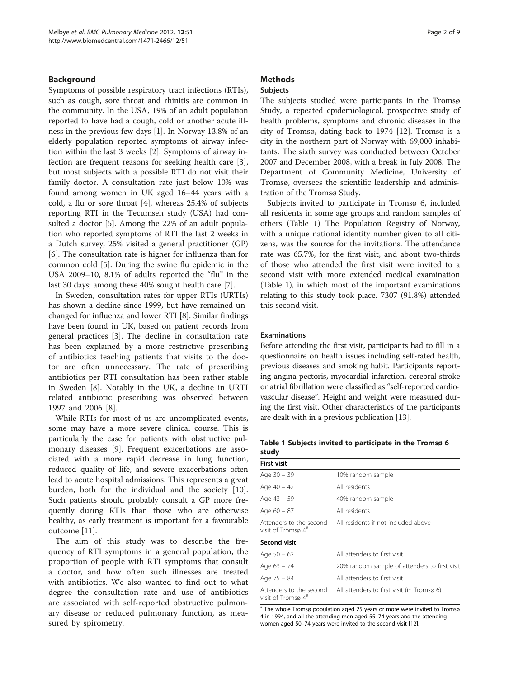### **Background**

Symptoms of possible respiratory tract infections (RTIs), such as cough, sore throat and rhinitis are common in the community. In the USA, 19% of an adult population reported to have had a cough, cold or another acute illness in the previous few days [[1\]](#page-7-0). In Norway 13.8% of an elderly population reported symptoms of airway infection within the last 3 weeks [\[2](#page-7-0)]. Symptoms of airway infection are frequent reasons for seeking health care [\[3](#page-7-0)], but most subjects with a possible RTI do not visit their family doctor. A consultation rate just below 10% was found among women in UK aged 16–44 years with a cold, a flu or sore throat [[4\]](#page-7-0), whereas 25.4% of subjects reporting RTI in the Tecumseh study (USA) had consulted a doctor [[5\]](#page-7-0). Among the 22% of an adult population who reported symptoms of RTI the last 2 weeks in a Dutch survey, 25% visited a general practitioner (GP) [[6\]](#page-7-0). The consultation rate is higher for influenza than for common cold [[5\]](#page-7-0). During the swine flu epidemic in the USA 2009–10, 8.1% of adults reported the "flu" in the last 30 days; among these 40% sought health care [\[7\]](#page-8-0).

In Sweden, consultation rates for upper RTIs (URTIs) has shown a decline since 1999, but have remained unchanged for influenza and lower RTI [\[8](#page-8-0)]. Similar findings have been found in UK, based on patient records from general practices [[3\]](#page-7-0). The decline in consultation rate has been explained by a more restrictive prescribing of antibiotics teaching patients that visits to the doctor are often unnecessary. The rate of prescribing antibiotics per RTI consultation has been rather stable in Sweden [[8\]](#page-8-0). Notably in the UK, a decline in URTI related antibiotic prescribing was observed between 1997 and 2006 [[8](#page-8-0)].

While RTIs for most of us are uncomplicated events, some may have a more severe clinical course. This is particularly the case for patients with obstructive pulmonary diseases [[9\]](#page-8-0). Frequent exacerbations are associated with a more rapid decrease in lung function, reduced quality of life, and severe exacerbations often lead to acute hospital admissions. This represents a great burden, both for the individual and the society [\[10](#page-8-0)]. Such patients should probably consult a GP more frequently during RTIs than those who are otherwise healthy, as early treatment is important for a favourable outcome [\[11](#page-8-0)].

The aim of this study was to describe the frequency of RTI symptoms in a general population, the proportion of people with RTI symptoms that consult a doctor, and how often such illnesses are treated with antibiotics. We also wanted to find out to what degree the consultation rate and use of antibiotics are associated with self-reported obstructive pulmonary disease or reduced pulmonary function, as measured by spirometry.

# **Methods**

#### Subjects

The subjects studied were participants in the Tromsø Study, a repeated epidemiological, prospective study of health problems, symptoms and chronic diseases in the city of Tromsø, dating back to 1974 [\[12](#page-8-0)]. Tromsø is a city in the northern part of Norway with 69,000 inhabitants. The sixth survey was conducted between October 2007 and December 2008, with a break in July 2008. The Department of Community Medicine, University of Tromsø, oversees the scientific leadership and administration of the Tromsø Study.

Subjects invited to participate in Tromsø 6, included all residents in some age groups and random samples of others (Table 1) The Population Registry of Norway, with a unique national identity number given to all citizens, was the source for the invitations. The attendance rate was 65.7%, for the first visit, and about two-thirds of those who attended the first visit were invited to a second visit with more extended medical examination (Table 1), in which most of the important examinations relating to this study took place. 7307 (91.8%) attended this second visit.

#### Examinations

Before attending the first visit, participants had to fill in a questionnaire on health issues including self-rated health, previous diseases and smoking habit. Participants reporting angina pectoris, myocardial infarction, cerebral stroke or atrial fibrillation were classified as "self-reported cardiovascular disease". Height and weight were measured during the first visit. Other characteristics of the participants are dealt with in a previous publication [\[13\]](#page-8-0).

Table 1 Subjects invited to participate in the Tromsø 6 study

| <b>First visit</b>                                        |                                               |
|-----------------------------------------------------------|-----------------------------------------------|
| Age 30 - 39                                               | 10% random sample                             |
| Age $40 - 42$                                             | All residents                                 |
| Age 43 - 59                                               | 40% random sample                             |
| Age $60 - 87$                                             | All residents                                 |
| Attenders to the second<br>visit of Tromsø $4*$           | All residents if not included above           |
| <b>Second visit</b>                                       |                                               |
| Age $50 - 62$                                             | All attenders to first visit                  |
| Age 63 - 74                                               | 20% random sample of attenders to first visit |
| Age 75 - 84                                               | All attenders to first visit                  |
| Attenders to the second<br>visit of Tromsø 4 <sup>#</sup> | All attenders to first visit (in Tromsø 6)    |

# The whole Tromsø population aged 25 years or more were invited to Tromsø 4 in 1994, and all the attending men aged 55–74 years and the attending women aged 50–74 years were invited to the second visit [\[12\]](#page-8-0).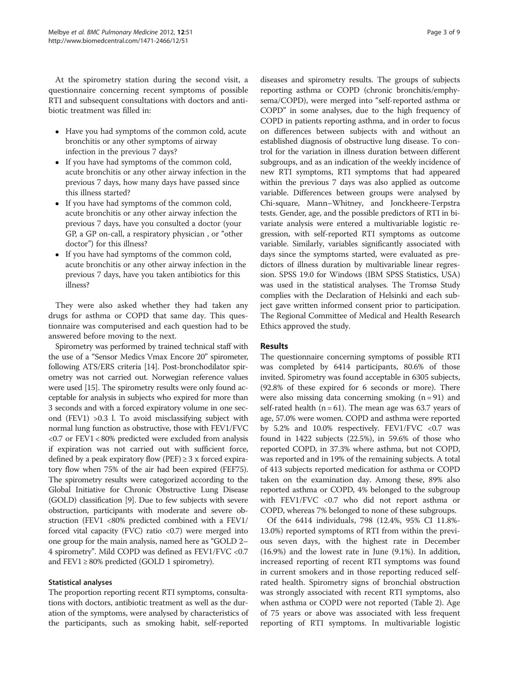At the spirometry station during the second visit, a questionnaire concerning recent symptoms of possible RTI and subsequent consultations with doctors and antibiotic treatment was filled in:

- Have you had symptoms of the common cold, acute bronchitis or any other symptoms of airway infection in the previous 7 days?
- If you have had symptoms of the common cold, acute bronchitis or any other airway infection in the previous 7 days, how many days have passed since this illness started?
- If you have had symptoms of the common cold, acute bronchitis or any other airway infection the previous 7 days, have you consulted a doctor (your GP, a GP on-call, a respiratory physician , or "other doctor") for this illness?
- If you have had symptoms of the common cold, acute bronchitis or any other airway infection in the previous 7 days, have you taken antibiotics for this illness?

They were also asked whether they had taken any drugs for asthma or COPD that same day. This questionnaire was computerised and each question had to be answered before moving to the next.

Spirometry was performed by trained technical staff with the use of a "Sensor Medics Vmax Encore 20" spirometer, following ATS/ERS criteria [[14](#page-8-0)]. Post-bronchodilator spirometry was not carried out. Norwegian reference values were used [\[15\]](#page-8-0). The spirometry results were only found acceptable for analysis in subjects who expired for more than 3 seconds and with a forced expiratory volume in one second (FEV1) >0.3 l. To avoid misclassifying subject with normal lung function as obstructive, those with FEV1/FVC <0.7 or FEV1 < 80% predicted were excluded from analysis if expiration was not carried out with sufficient force, defined by a peak expiratory flow (PEF)  $\geq$  3 x forced expiratory flow when 75% of the air had been expired (FEF75). The spirometry results were categorized according to the Global Initiative for Chronic Obstructive Lung Disease (GOLD) classification [\[9](#page-8-0)]. Due to few subjects with severe obstruction, participants with moderate and severe obstruction (FEV1 <80% predicted combined with a FEV1/ forced vital capacity (FVC) ratio  $\langle 0.7 \rangle$  were merged into one group for the main analysis, named here as "GOLD 2– 4 spirometry". Mild COPD was defined as FEV1/FVC <0.7 and FEV1 ≥ 80% predicted (GOLD 1 spirometry).

#### Statistical analyses

The proportion reporting recent RTI symptoms, consultations with doctors, antibiotic treatment as well as the duration of the symptoms, were analysed by characteristics of the participants, such as smoking habit, self-reported

diseases and spirometry results. The groups of subjects reporting asthma or COPD (chronic bronchitis/emphysema/COPD), were merged into "self-reported asthma or COPD" in some analyses, due to the high frequency of COPD in patients reporting asthma, and in order to focus on differences between subjects with and without an established diagnosis of obstructive lung disease. To control for the variation in illness duration between different subgroups, and as an indication of the weekly incidence of new RTI symptoms, RTI symptoms that had appeared within the previous 7 days was also applied as outcome variable. Differences between groups were analysed by Chi-square, Mann–Whitney, and Jonckheere-Terpstra tests. Gender, age, and the possible predictors of RTI in bivariate analysis were entered a multivariable logistic regression, with self-reported RTI symptoms as outcome variable. Similarly, variables significantly associated with days since the symptoms started, were evaluated as predictors of illness duration by multivariable linear regression. SPSS 19.0 for Windows (IBM SPSS Statistics, USA) was used in the statistical analyses. The Tromsø Study complies with the Declaration of Helsinki and each subject gave written informed consent prior to participation. The Regional Committee of Medical and Health Research Ethics approved the study.

## Results

The questionnaire concerning symptoms of possible RTI was completed by 6414 participants, 80.6% of those invited. Spirometry was found acceptable in 6305 subjects, (92.8% of these expired for 6 seconds or more). There were also missing data concerning smoking  $(n = 91)$  and self-rated health ( $n = 61$ ). The mean age was 63.7 years of age, 57.0% were women. COPD and asthma were reported by  $5.2\%$  and  $10.0\%$  respectively. FEV1/FVC <0.7 was found in 1422 subjects (22.5%), in 59.6% of those who reported COPD, in 37.3% where asthma, but not COPD, was reported and in 19% of the remaining subjects. A total of 413 subjects reported medication for asthma or COPD taken on the examination day. Among these, 89% also reported asthma or COPD, 4% belonged to the subgroup with FEV1/FVC <0.7 who did not report asthma or COPD, whereas 7% belonged to none of these subgroups.

Of the 6414 individuals, 798 (12.4%, 95% CI 11.8%- 13.0%) reported symptoms of RTI from within the previous seven days, with the highest rate in December (16.9%) and the lowest rate in June (9.1%). In addition, increased reporting of recent RTI symptoms was found in current smokers and in those reporting reduced selfrated health. Spirometry signs of bronchial obstruction was strongly associated with recent RTI symptoms, also when asthma or COPD were not reported (Table [2](#page-3-0)). Age of 75 years or above was associated with less frequent reporting of RTI symptoms. In multivariable logistic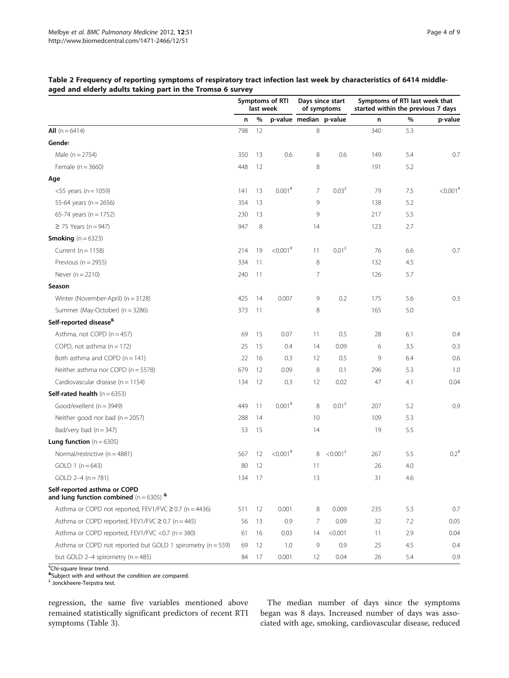<span id="page-3-0"></span>

| Table 2 Frequency of reporting symptoms of respiratory tract infection last week by characteristics of 6414 middle- |  |
|---------------------------------------------------------------------------------------------------------------------|--|
| aged and elderly adults taking part in the Tromsø 6 survey                                                          |  |

|                                                                           | <b>Symptoms of RTI</b><br>last week |     | Days since start<br>of symptoms |                        | Symptoms of RTI last week that<br>started within the previous 7 days |     |     |                 |
|---------------------------------------------------------------------------|-------------------------------------|-----|---------------------------------|------------------------|----------------------------------------------------------------------|-----|-----|-----------------|
|                                                                           | n                                   | %   |                                 | p-value median p-value |                                                                      | n   | %   | p-value         |
| <b>All</b> $(n = 6414)$                                                   | 798                                 | 12  |                                 | 8                      |                                                                      | 340 | 5.3 |                 |
| Gender                                                                    |                                     |     |                                 |                        |                                                                      |     |     |                 |
| Male $(n = 2754)$                                                         | 350                                 | 13  | 0.6                             | 8                      | 0.6                                                                  | 149 | 5.4 | 0.7             |
| Female $(n = 3660)$                                                       | 448                                 | 12  |                                 | 8                      |                                                                      | 191 | 5.2 |                 |
| Age                                                                       |                                     |     |                                 |                        |                                                                      |     |     |                 |
| $<$ 55 years (n = 1059)                                                   | 141                                 | 13  | $0.001$ <sup>#</sup>            | 7                      | 0.03 <sup>f</sup>                                                    | 79  | 7.5 | ${<}0.001^{\#}$ |
| 55-64 years ( $n = 2656$ )                                                | 354                                 | 13  |                                 | 9                      |                                                                      | 138 | 5.2 |                 |
| 65-74 years ( $n = 1752$ )                                                | 230                                 | 13  |                                 | 9                      |                                                                      | 217 | 5.5 |                 |
| $≥ 75$ Years (n = 947)                                                    | 947                                 | 8   |                                 | 14                     |                                                                      | 123 | 2.7 |                 |
| <b>Smoking</b> $(n = 6323)$                                               |                                     |     |                                 |                        |                                                                      |     |     |                 |
| Current ( $n = 1158$ )                                                    | 214                                 | 19  | $< 0.001$ <sup>#</sup>          | 11                     | $0.01^{\text{f}}$                                                    | 76  | 6.6 | 0.7             |
| Previous ( $n = 2955$ )                                                   | 334                                 | 11  |                                 | 8                      |                                                                      | 132 | 4.5 |                 |
| Never $(n = 2210)$                                                        | 240                                 | 11  |                                 | 7                      |                                                                      | 126 | 5.7 |                 |
| Season                                                                    |                                     |     |                                 |                        |                                                                      |     |     |                 |
| Winter (November-April) (n = 3128)                                        | 425                                 | 14  | 0.007                           | 9                      | 0.2                                                                  | 175 | 5.6 | 0.3             |
| Summer (May-October) (n = 3286)                                           | 373                                 | 11  |                                 | 8                      |                                                                      | 165 | 5.0 |                 |
| Self-reported disease <sup>&amp;</sup>                                    |                                     |     |                                 |                        |                                                                      |     |     |                 |
| Asthma, not COPD $(n = 457)$                                              | 69                                  | 15  | 0.07                            | 11                     | 0.5                                                                  | 28  | 6.1 | 0.4             |
| COPD, not asthma $(n = 172)$                                              | 25                                  | 15  | 0.4                             | 14                     | 0.09                                                                 | 6   | 3.5 | 0.3             |
| Both asthma and COPD ( $n = 141$ )                                        | 22                                  | 16  | 0.3                             | 12                     | 0.5                                                                  | 9   | 6.4 | 0.6             |
| Neither asthma nor COPD ( $n = 5578$ )                                    | 679                                 | 12  | 0.09                            | 8                      | 0.1                                                                  | 296 | 5.3 | 1.0             |
| Cardiovascular disease ( $n = 1154$ )                                     | 134                                 | 12  | 0.3                             | 12                     | 0.02                                                                 | 47  | 4.1 | 0.04            |
| <b>Self-rated health</b> $(n = 6353)$                                     |                                     |     |                                 |                        |                                                                      |     |     |                 |
| Good/exellent (n = 3949)                                                  | 449                                 | 11  | $0.001$ #                       | 8                      | $0.01^{\text{f}}$                                                    | 207 | 5.2 | 0.9             |
| Neither good nor bad ( $n = 2057$ )                                       | 288                                 | 14  |                                 | 10                     |                                                                      | 109 | 5.3 |                 |
| Bad/very bad $(n = 347)$                                                  | 53                                  | 15  |                                 | 14                     |                                                                      | 19  | 5.5 |                 |
| <b>Lung function</b> $(n = 6305)$                                         |                                     |     |                                 |                        |                                                                      |     |     |                 |
| Normal/restrictive ( $n = 4881$ )                                         | 567                                 | 12  | $< 0.001$ <sup>#</sup>          | 8                      | $< 0.001$ <sup>£</sup>                                               | 267 | 5.5 | $0.2^{\#}$      |
| $GOLD 1 (n = 643)$                                                        | 80                                  | 12  |                                 | 11                     |                                                                      | 26  | 4.0 |                 |
| GOLD 2-4 ( $n = 781$ )                                                    | 134                                 | 17  |                                 | 13                     |                                                                      | 31  | 4.6 |                 |
| Self-reported asthma or COPD<br>and lung function combined $(n = 6305)$ & |                                     |     |                                 |                        |                                                                      |     |     |                 |
| Asthma or COPD not reported, FEV1/FVC $\geq$ 0.7 (n = 4436)               | 511                                 | 12  | 0.001                           | 8                      | 0.009                                                                | 235 | 5.3 | 0.7             |
| Asthma or COPD reported, FEV1/FVC $\geq$ 0.7 (n = 445)                    | 56                                  | 13  | 0.9                             | 7                      | 0.09                                                                 | 32  | 7.2 | 0.05            |
| Asthma or COPD reported, FEV1/FVC <0.7 (n = 380)                          | 61                                  | 16  | 0.03                            | 14                     | < 0.001                                                              | 11  | 2.9 | 0.04            |
| Asthma or COPD not reported but GOLD 1 spirometry (n = 559)               | 69                                  | 12  | 1.0                             | 9                      | 0.9                                                                  | 25  | 4.5 | 0.4             |
| but GOLD 2-4 spirometry ( $n = 485$ )                                     |                                     | -17 | 0.001                           | 12                     | 0.04                                                                 | 26  | 5.4 | 0.9             |

# Chi-square linear trend.

&Subject with and without the condition are compared.

 $E$  Jonckheere-Terpstra test.

regression, the same five variables mentioned above remained statistically significant predictors of recent RTI symptoms (Table [3\)](#page-4-0).

The median number of days since the symptoms began was 8 days. Increased number of days was associated with age, smoking, cardiovascular disease, reduced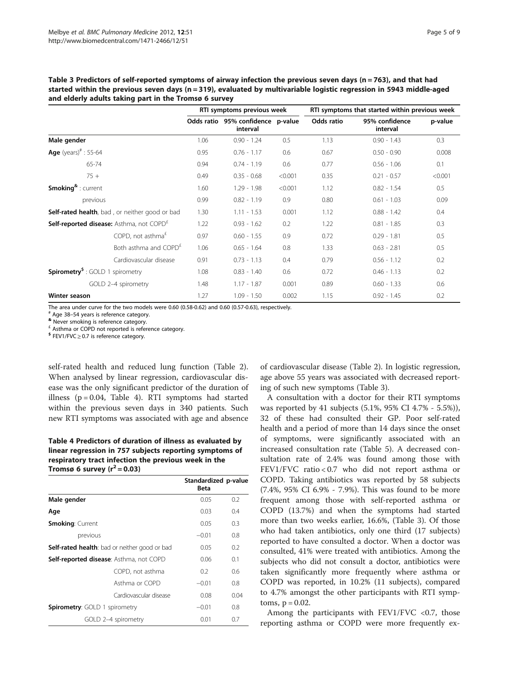<span id="page-4-0"></span>Table 3 Predictors of self-reported symptoms of airway infection the previous seven days (n = 763), and that had started within the previous seven days (n = 319), evaluated by multivariable logistic regression in 5943 middle-aged and elderly adults taking part in the Tromsø 6 survey

|                                                      |      | RTI symptoms previous week                    |         | RTI symptoms that started within previous week |                            |         |  |
|------------------------------------------------------|------|-----------------------------------------------|---------|------------------------------------------------|----------------------------|---------|--|
|                                                      |      | Odds ratio 95% confidence p-value<br>interval |         | Odds ratio                                     | 95% confidence<br>interval | p-value |  |
| Male gender                                          | 1.06 | $0.90 - 1.24$                                 | 0.5     | 1.13                                           | $0.90 - 1.43$              | 0.3     |  |
| <b>Age</b> (years) <sup>#</sup> : 55-64              | 0.95 | $0.76 - 1.17$                                 | 0.6     | 0.67                                           | $0.50 - 0.90$              | 0.008   |  |
| 65-74                                                | 0.94 | $0.74 - 1.19$                                 | 0.6     | 0.77                                           | $0.56 - 1.06$              | 0.1     |  |
| $75+$                                                | 0.49 | $0.35 - 0.68$                                 | < 0.001 | 0.35                                           | $0.21 - 0.57$              | < 0.001 |  |
| <b>Smoking<sup>&amp;</sup></b> : current             | 1.60 | $1.29 - 1.98$                                 | < 0.001 | 1.12                                           | $0.82 - 1.54$              | 0.5     |  |
| previous                                             | 0.99 | $0.82 - 1.19$                                 | 0.9     | 0.80                                           | $0.61 - 1.03$              | 0.09    |  |
| Self-rated health, bad, or neither good or bad       | 1.30 | $1.11 - 1.53$                                 | 0.001   | 1.12                                           | $0.88 - 1.42$              | 0.4     |  |
| Self-reported disease: Asthma, not COPD <sup>+</sup> | 1.22 | $0.93 - 1.62$                                 | 0.2     | 1.22                                           | $0.81 - 1.85$              | 0.3     |  |
| COPD, not asthma $±$                                 | 0.97 | $0.60 - 1.55$                                 | 0.9     | 0.72                                           | $0.29 - 1.81$              | 0.5     |  |
| Both asthma and $COPDE$                              | 1.06 | $0.65 - 1.64$                                 | 0.8     | 1.33                                           | $0.63 - 2.81$              | 0.5     |  |
| Cardiovascular disease                               | 0.91 | $0.73 - 1.13$                                 | 0.4     | 0.79                                           | $0.56 - 1.12$              | 0.2     |  |
| <b>Spirometry<sup>\$</sup></b> : GOLD 1 spirometry   | 1.08 | $0.83 - 1.40$                                 | 0.6     | 0.72                                           | $0.46 - 1.13$              | 0.2     |  |
| GOLD 2-4 spirometry                                  | 1.48 | $1.17 - 1.87$                                 | 0.001   | 0.89                                           | $0.60 - 1.33$              | 0.6     |  |
| Winter season                                        | 1.27 | $1.09 - 1.50$                                 | 0.002   | 1.15                                           | $0.92 - 1.45$              | 0.2     |  |

The area under curve for the two models were 0.60 (0.58-0.62) and 0.60 (0.57-0.63), respectively.<br># Age 38-54 years is reference category.

 $\frac{\text{a}}{\text{A}}$  Never smoking is reference category.<br>  $\frac{\text{c}}{\text{A}}$  Asthma or COPD not reported is reference category.

 $$ FEV1/FVC \geq 0.7$ is reference category.$ 

self-rated health and reduced lung function (Table [2](#page-3-0)). When analysed by linear regression, cardiovascular disease was the only significant predictor of the duration of illness ( $p = 0.04$ , Table 4). RTI symptoms had started within the previous seven days in 340 patients. Such new RTI symptoms was associated with age and absence

Table 4 Predictors of duration of illness as evaluated by linear regression in 757 subjects reporting symptoms of respiratory tract infection the previous week in the Tromsø 6 survey ( $r^2$  = 0.03)

|                                                      | Standardized p-value<br><b>Beta</b> |      |
|------------------------------------------------------|-------------------------------------|------|
| Male gender                                          | 0.05                                | 0.2  |
| Age                                                  | 0.03                                | 0.4  |
| <b>Smoking: Current</b>                              | 0.05                                | 0.3  |
| previous                                             | $-0.01$                             | 0.8  |
| <b>Self-rated health:</b> bad or neither good or bad | 0.05                                | 0.2  |
| Self-reported disease: Asthma, not COPD              | 0.06                                | 0.1  |
| COPD, not asthma                                     | 0.2                                 | 0.6  |
| Asthma or COPD                                       | $-0.01$                             | 0.8  |
| Cardiovascular disease                               | 0.08                                | 0.04 |
| <b>Spirometry: GOLD 1 spirometry</b>                 | $-0.01$                             | 0.8  |
| GOLD 2-4 spirometry                                  | 0.01                                | 0.7  |

of cardiovascular disease (Table [2\)](#page-3-0). In logistic regression, age above 55 years was associated with decreased reporting of such new symptoms (Table 3).

A consultation with a doctor for their RTI symptoms was reported by 41 subjects (5.1%, 95% CI 4.7% - 5.5%)), 32 of these had consulted their GP. Poor self-rated health and a period of more than 14 days since the onset of symptoms, were significantly associated with an increased consultation rate (Table [5\)](#page-5-0). A decreased consultation rate of 2.4% was found among those with FEV1/FVC ratio < 0.7 who did not report asthma or COPD. Taking antibiotics was reported by 58 subjects (7.4%, 95% CI 6.9% - 7.9%). This was found to be more frequent among those with self-reported asthma or COPD (13.7%) and when the symptoms had started more than two weeks earlier, 16.6%, (Table 3). Of those who had taken antibiotics, only one third (17 subjects) reported to have consulted a doctor. When a doctor was consulted, 41% were treated with antibiotics. Among the subjects who did not consult a doctor, antibiotics were taken significantly more frequently where asthma or COPD was reported, in 10.2% (11 subjects), compared to 4.7% amongst the other participants with RTI symptoms,  $p = 0.02$ .

Among the participants with  $FEV1/FVC$  <0.7, those reporting asthma or COPD were more frequently ex-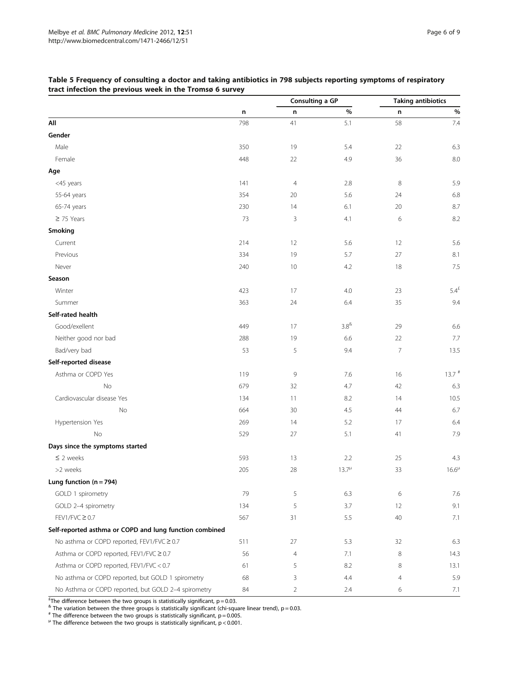# Consulting a GP Taking antibiotics n n % n % **All** 58 7.4 and 5.1 58 7.4 and 5.1 58 7.4 and 5.1 58 5.1 58 5.1 58 5.1 58 5.1 58 5.1 58 5.1 58 5.1 59.1  $7.4$ Gender Male 22 6.3 Female 448 22 4.9 36 8.0 Age 45 years 6.9 and 5.9 and 5.9 and 5.9 and 5.9 and 5.9 and 5.9 and 5.9 and 5.9 and 5.9 and 5.9 and 5.9 and 5.9 and 5.9 and 5.9 and 5.9 and 5.9 and 5.9 and 5.9 and 5.9 and 5.9 and 5.9 and 5.9 and 5.9 and 5.9 and 5.9 and 5.9 a 55-64 years 354 20 5.6 24 6.8 65-74 years 65-74 years 230 14 5.1 20 8.7 and 30 8.7 and 30 8.7 and 30 8.7 and 30 8.7 and 30 8.7 and 30 8.7 and 30 8.7 and 30 8.7 and 30 8.7 and 30 8.7 and 30 8.7 and 30 8.7 and 30 8.7 and 30 8.7 and 30 8.7 and 30 8.7 and  $\geq$  75 Years 8.2 Smoking Current 214 12 5.6 12 5.6 Previous 27 8.1 27 8.1 27 8.1 27 8.1 27 8.1 27 8.1 27 8.1 27 8.1 27 8.1 27 8.1 27 27 8.1 28.1 27 27 27 27 27 27 Never 28 18 240 10 4.2 18 7.5 Season  $\mu$  Winter 23 5.4 $^{4}$ Summer 363 24 6.4 35 9.4 Self-rated health Good/exellent 6.6 and  $\begin{array}{ccccccc} 449 & & & 17 & & 3.8 & & 29 & & 6.6 \end{array}$ Neither good nor bad 288 19 6.6 22 7.7 Bad/very bad 53 5 9.4 7 13.5 Self-reported disease Asthma or COPD Yes **119** 119 9 12.6 16 13.7 # No 679 32 4.7 42 6.3 Cardiovascular disease Yes 10.5 (and the contract of the contract of the contract of the contract of the contract of the contract of the contract of the contract of the contract of the contract of the contract of the contr No 664 50 4.5 44 6.7 Hypertension Yes 269 269 14 5.2 17 6.4 No 329 27 5.1 41 7.9 Days since the symptoms started  $\leq$  2 weeks 593 13 2.2 25 4.3  $>2$  weeks 205 28 13.7<sup>µ</sup> 33 16.6<sup>µ</sup> Lung function  $(n = 794)$ GOLD 1 spirometry **6.3** 6 6.3 6 7.6 GOLD 2-4 spirometry 134 5 3.7 12 9.1 FEV1/FVC ≥ 0.7 5.5 40 7.1 Self-reported asthma or COPD and lung function combined No asthma or COPD reported, FEV1/FVC ≥ 0.7 511 27 5.3 32 6.3 Asthma or COPD reported, FEV1/FVC  $\geq 0.7$  56 4 7.1 8 14.3 Asthma or COPD reported, FEV1/FVC < 0.7 61 61 61 61 8.2 8 13.1 No asthma or COPD reported, but GOLD 1 spirometry 68 3 4.4 4 5.9 No Asthma or COPD reported, but GOLD 2-4 spirometry  $84$  2.4 2.4 6 7.1

## <span id="page-5-0"></span>Table 5 Frequency of consulting a doctor and taking antibiotics in 798 subjects reporting symptoms of respiratory tract infection the previous week in the Tromsø 6 survey

 $^{2}$ The difference between the two groups is statistically significant, p = 0.03.

 $^{\&}$  The variation between the three groups is statistically significant (chi-square linear trend), p = 0.03.

 $*$  The difference between the two groups is statistically significant,  $p = 0.005$ .

 $\mu$  The difference between the two groups is statistically significant, p < 0.001.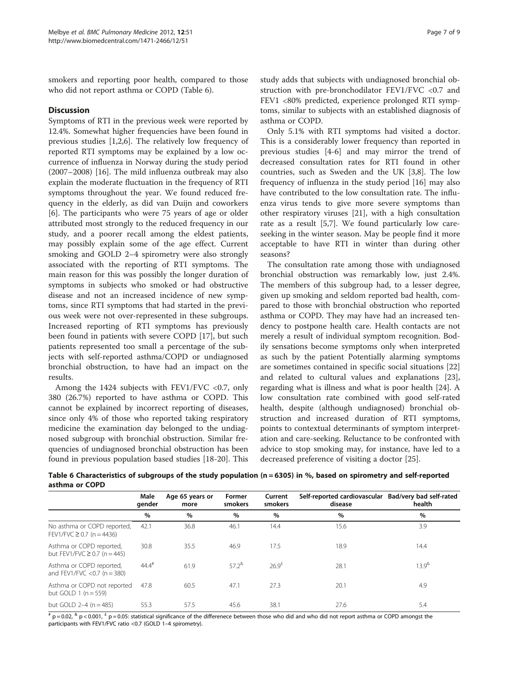smokers and reporting poor health, compared to those who did not report asthma or COPD (Table 6).

## **Discussion**

Symptoms of RTI in the previous week were reported by 12.4%. Somewhat higher frequencies have been found in previous studies [[1,2,6\]](#page-7-0). The relatively low frequency of reported RTI symptoms may be explained by a low occurrence of influenza in Norway during the study period (2007–2008) [[16\]](#page-8-0). The mild influenza outbreak may also explain the moderate fluctuation in the frequency of RTI symptoms throughout the year. We found reduced frequency in the elderly, as did van Duijn and coworkers [[6\]](#page-7-0). The participants who were 75 years of age or older attributed most strongly to the reduced frequency in our study, and a poorer recall among the eldest patients, may possibly explain some of the age effect. Current smoking and GOLD 2–4 spirometry were also strongly associated with the reporting of RTI symptoms. The main reason for this was possibly the longer duration of symptoms in subjects who smoked or had obstructive disease and not an increased incidence of new symptoms, since RTI symptoms that had started in the previous week were not over-represented in these subgroups. Increased reporting of RTI symptoms has previously been found in patients with severe COPD [\[17](#page-8-0)], but such patients represented too small a percentage of the subjects with self-reported asthma/COPD or undiagnosed bronchial obstruction, to have had an impact on the results.

Among the 1424 subjects with FEV1/FVC  $\langle 0.7, \text{ only} \rangle$ 380 (26.7%) reported to have asthma or COPD. This cannot be explained by incorrect reporting of diseases, since only 4% of those who reported taking respiratory medicine the examination day belonged to the undiagnosed subgroup with bronchial obstruction. Similar frequencies of undiagnosed bronchial obstruction has been found in previous population based studies [[18-20\]](#page-8-0). This

study adds that subjects with undiagnosed bronchial obstruction with pre-bronchodilator FEV1/FVC <0.7 and FEV1 <80% predicted, experience prolonged RTI symptoms, similar to subjects with an established diagnosis of asthma or COPD.

Only 5.1% with RTI symptoms had visited a doctor. This is a considerably lower frequency than reported in previous studies [\[4](#page-7-0)-[6\]](#page-7-0) and may mirror the trend of decreased consultation rates for RTI found in other countries, such as Sweden and the UK [\[3](#page-7-0)[,8](#page-8-0)]. The low frequency of influenza in the study period [[16\]](#page-8-0) may also have contributed to the low consultation rate. The influenza virus tends to give more severe symptoms than other respiratory viruses [\[21\]](#page-8-0), with a high consultation rate as a result [\[5](#page-7-0)[,7](#page-8-0)]. We found particularly low careseeking in the winter season. May be people find it more acceptable to have RTI in winter than during other seasons?

The consultation rate among those with undiagnosed bronchial obstruction was remarkably low, just 2.4%. The members of this subgroup had, to a lesser degree, given up smoking and seldom reported bad health, compared to those with bronchial obstruction who reported asthma or COPD. They may have had an increased tendency to postpone health care. Health contacts are not merely a result of individual symptom recognition. Bodily sensations become symptoms only when interpreted as such by the patient Potentially alarming symptoms are sometimes contained in specific social situations [[22](#page-8-0)] and related to cultural values and explanations [\[23](#page-8-0)], regarding what is illness and what is poor health [\[24\]](#page-8-0). A low consultation rate combined with good self-rated health, despite (although undiagnosed) bronchial obstruction and increased duration of RTI symptoms, points to contextual determinants of symptom interpretation and care-seeking. Reluctance to be confronted with advice to stop smoking may, for instance, have led to a decreased preference of visiting a doctor [\[25\]](#page-8-0).

| Table 6 Characteristics of subgroups of the study population (n = 6305) in %, based on spirometry and self-reported |  |
|---------------------------------------------------------------------------------------------------------------------|--|
| asthma or COPD                                                                                                      |  |

|                                                               | Male<br>gender | Age 65 years or<br>more | Former<br>smokers | Current<br>smokers | Self-reported cardiovascular Bad/very bad self-rated<br>disease | health     |
|---------------------------------------------------------------|----------------|-------------------------|-------------------|--------------------|-----------------------------------------------------------------|------------|
|                                                               | $\%$           | $\%$                    | $\%$              | %                  | %                                                               | %          |
| No asthma or COPD reported,<br>$FEV1/FVC \ge 0.7$ (n = 4436)  | 42.1           | 36.8                    | 46.1              | 14.4               | 15.6                                                            | 3.9        |
| Asthma or COPD reported,<br>but FEV1/FVC $\geq$ 0.7 (n = 445) | 30.8           | 35.5                    | 46.9              | 17.5               | 18.9                                                            | 14.4       |
| Asthma or COPD reported,<br>and FEV1/FVC < 0.7 (n = 380)      | $44.4^{\#}$    | 61.9                    | $57.2^8$          | 26.9 <sup>£</sup>  | 28.1                                                            | $13.9^{8}$ |
| Asthma or COPD not reported<br>but GOLD $1(n = 559)$          | 47.8           | 60.5                    | 47.1              | 27.3               | 20.1                                                            | 4.9        |
| but GOLD 2-4 ( $n = 485$ )                                    | 55.3           | 57.5                    | 45.6              | 38.1               | 27.6                                                            | 5.4        |

 $^{\#}$  p = 0.02,  $^{\&}$  p < 0.001,  $^{\&}$  p = 0.05: statistical significance of the differenece between those who did and who did not report asthma or COPD amongst the participants with FEV1/FVC ratio <0.7 (GOLD 1–4 spirometry).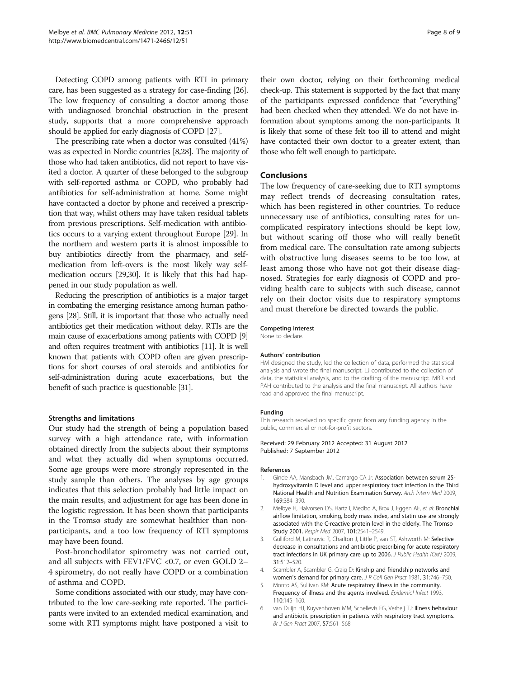<span id="page-7-0"></span>Detecting COPD among patients with RTI in primary care, has been suggested as a strategy for case-finding [\[26](#page-8-0)]. The low frequency of consulting a doctor among those with undiagnosed bronchial obstruction in the present study, supports that a more comprehensive approach should be applied for early diagnosis of COPD [\[27\]](#page-8-0).

The prescribing rate when a doctor was consulted (41%) was as expected in Nordic countries [\[8,28](#page-8-0)]. The majority of those who had taken antibiotics, did not report to have visited a doctor. A quarter of these belonged to the subgroup with self-reported asthma or COPD, who probably had antibiotics for self-administration at home. Some might have contacted a doctor by phone and received a prescription that way, whilst others may have taken residual tablets from previous prescriptions. Self-medication with antibiotics occurs to a varying extent throughout Europe [\[29\]](#page-8-0). In the northern and western parts it is almost impossible to buy antibiotics directly from the pharmacy, and selfmedication from left-overs is the most likely way selfmedication occurs [\[29,30](#page-8-0)]. It is likely that this had happened in our study population as well.

Reducing the prescription of antibiotics is a major target in combating the emerging resistance among human pathogens [\[28\]](#page-8-0). Still, it is important that those who actually need antibiotics get their medication without delay. RTIs are the main cause of exacerbations among patients with COPD [[9](#page-8-0)] and often requires treatment with antibiotics [\[11](#page-8-0)]. It is well known that patients with COPD often are given prescriptions for short courses of oral steroids and antibiotics for self-administration during acute exacerbations, but the benefit of such practice is questionable [\[31\]](#page-8-0).

#### Strengths and limitations

Our study had the strength of being a population based survey with a high attendance rate, with information obtained directly from the subjects about their symptoms and what they actually did when symptoms occurred. Some age groups were more strongly represented in the study sample than others. The analyses by age groups indicates that this selection probably had little impact on the main results, and adjustment for age has been done in the logistic regression. It has been shown that participants in the Tromsø study are somewhat healthier than nonparticipants, and a too low frequency of RTI symptoms may have been found.

Post-bronchodilator spirometry was not carried out, and all subjects with FEV1/FVC <0.7, or even GOLD 2– 4 spirometry, do not really have COPD or a combination of asthma and COPD.

Some conditions associated with our study, may have contributed to the low care-seeking rate reported. The participants were invited to an extended medical examination, and some with RTI symptoms might have postponed a visit to their own doctor, relying on their forthcoming medical check-up. This statement is supported by the fact that many of the participants expressed confidence that "everything" had been checked when they attended. We do not have information about symptoms among the non-participants. It is likely that some of these felt too ill to attend and might have contacted their own doctor to a greater extent, than those who felt well enough to participate.

#### Conclusions

The low frequency of care-seeking due to RTI symptoms may reflect trends of decreasing consultation rates, which has been registered in other countries. To reduce unnecessary use of antibiotics, consulting rates for uncomplicated respiratory infections should be kept low, but without scaring off those who will really benefit from medical care. The consultation rate among subjects with obstructive lung diseases seems to be too low, at least among those who have not got their disease diagnosed. Strategies for early diagnosis of COPD and providing health care to subjects with such disease, cannot rely on their doctor visits due to respiratory symptoms and must therefore be directed towards the public.

#### Competing interest

None to declare.

#### Authors' contribution

HM designed the study, led the collection of data, performed the statistical analysis and wrote the final manuscript, LJ contributed to the collection of data, the statistical analysis, and to the drafting of the manuscript. MBR and PAH contributed to the analysis and the final manuscript. All authors have read and approved the final manuscript.

#### Funding

This research received no specific grant from any funding agency in the public, commercial or not-for-profit sectors.

Received: 29 February 2012 Accepted: 31 August 2012 Published: 7 September 2012

#### References

- Ginde AA, Mansbach JM, Camargo CA Jr: Association between serum 25hydroxyvitamin D level and upper respiratory tract infection in the Third National Health and Nutrition Examination Survey. Arch Intern Med 2009, 169:384–390.
- 2. Melbye H, Halvorsen DS, Hartz I, Medbo A, Brox J, Eggen AE, et al: Bronchial airflow limitation, smoking, body mass index, and statin use are strongly associated with the C-reactive protein level in the elderly. The Tromso Study 2001. Respir Med 2007, 101:2541–2549.
- 3. Gulliford M, Latinovic R, Charlton J, Little P, van ST, Ashworth M: Selective decrease in consultations and antibiotic prescribing for acute respiratory tract infections in UK primary care up to 2006. J Public Health (Oxf) 2009, 31:512–520.
- 4. Scambler A, Scambler G, Craig D: Kinship and friendship networks and women's demand for primary care. J R Coll Gen Pract 1981, 31:746-750.
- 5. Monto AS, Sullivan KM: Acute respiratory illness in the community. Frequency of illness and the agents involved. Epidemiol Infect 1993, 110:145–160.
- 6. van Duijn HJ, Kuyvenhoven MM, Schellevis FG, Verheij TJ: Illness behaviour and antibiotic prescription in patients with respiratory tract symptoms. Br J Gen Pract 2007, 57:561–568.